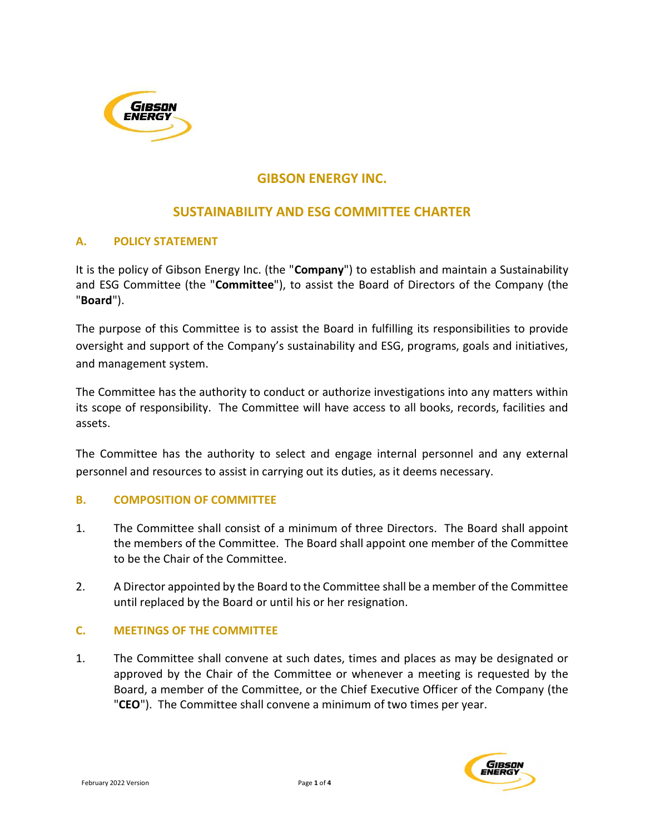

# GIBSON ENERGY INC.

## SUSTAINABILITY AND ESG COMMITTEE CHARTER

### A. POLICY STATEMENT

It is the policy of Gibson Energy Inc. (the "Company") to establish and maintain a Sustainability and ESG Committee (the "Committee"), to assist the Board of Directors of the Company (the "Board").

The purpose of this Committee is to assist the Board in fulfilling its responsibilities to provide oversight and support of the Company's sustainability and ESG, programs, goals and initiatives, and management system.

The Committee has the authority to conduct or authorize investigations into any matters within its scope of responsibility. The Committee will have access to all books, records, facilities and assets.

The Committee has the authority to select and engage internal personnel and any external personnel and resources to assist in carrying out its duties, as it deems necessary.

#### B. COMPOSITION OF COMMITTEE

- 1. The Committee shall consist of a minimum of three Directors. The Board shall appoint the members of the Committee. The Board shall appoint one member of the Committee to be the Chair of the Committee.
- 2. A Director appointed by the Board to the Committee shall be a member of the Committee until replaced by the Board or until his or her resignation.

#### C. MEETINGS OF THE COMMITTEE

1. The Committee shall convene at such dates, times and places as may be designated or approved by the Chair of the Committee or whenever a meeting is requested by the Board, a member of the Committee, or the Chief Executive Officer of the Company (the "CEO"). The Committee shall convene a minimum of two times per year.

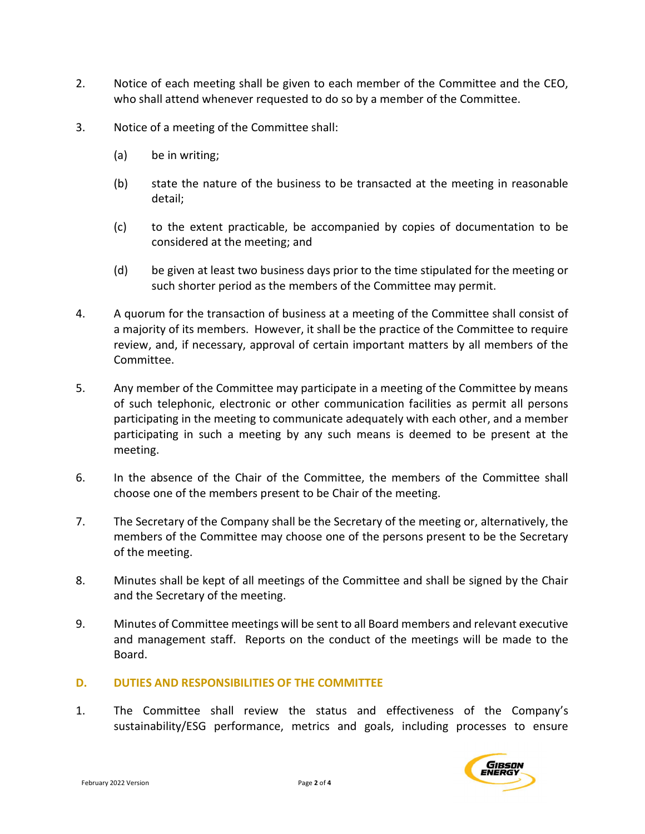- 2. Notice of each meeting shall be given to each member of the Committee and the CEO, who shall attend whenever requested to do so by a member of the Committee.
- 3. Notice of a meeting of the Committee shall:
	- (a) be in writing;
	- (b) state the nature of the business to be transacted at the meeting in reasonable detail;
	- (c) to the extent practicable, be accompanied by copies of documentation to be considered at the meeting; and
	- (d) be given at least two business days prior to the time stipulated for the meeting or such shorter period as the members of the Committee may permit.
- 4. A quorum for the transaction of business at a meeting of the Committee shall consist of a majority of its members. However, it shall be the practice of the Committee to require review, and, if necessary, approval of certain important matters by all members of the Committee.
- 5. Any member of the Committee may participate in a meeting of the Committee by means of such telephonic, electronic or other communication facilities as permit all persons participating in the meeting to communicate adequately with each other, and a member participating in such a meeting by any such means is deemed to be present at the meeting.
- 6. In the absence of the Chair of the Committee, the members of the Committee shall choose one of the members present to be Chair of the meeting.
- 7. The Secretary of the Company shall be the Secretary of the meeting or, alternatively, the members of the Committee may choose one of the persons present to be the Secretary of the meeting.
- 8. Minutes shall be kept of all meetings of the Committee and shall be signed by the Chair and the Secretary of the meeting.
- 9. Minutes of Committee meetings will be sent to all Board members and relevant executive and management staff. Reports on the conduct of the meetings will be made to the Board.

#### D. DUTIES AND RESPONSIBILITIES OF THE COMMITTEE

1. The Committee shall review the status and effectiveness of the Company's sustainability/ESG performance, metrics and goals, including processes to ensure

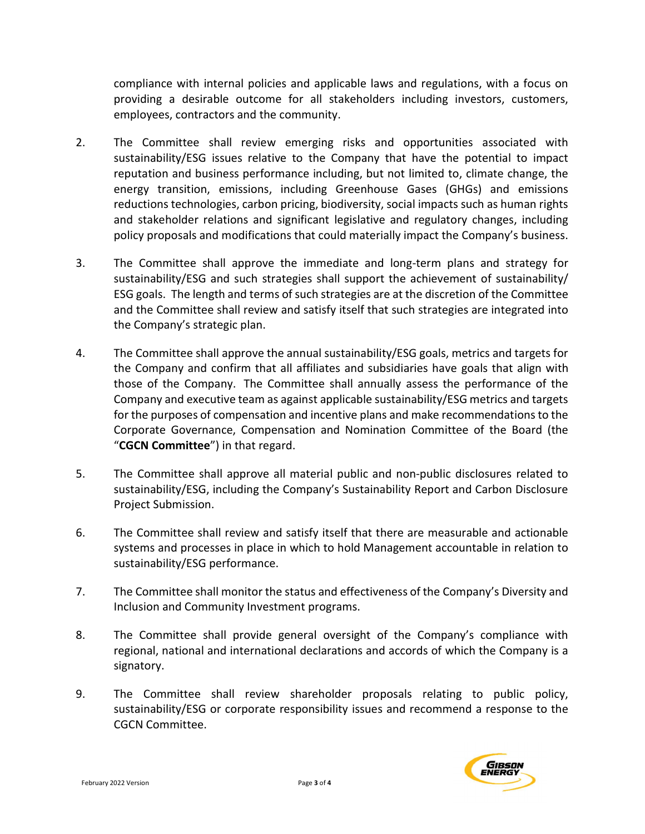compliance with internal policies and applicable laws and regulations, with a focus on providing a desirable outcome for all stakeholders including investors, customers, employees, contractors and the community.

- 2. The Committee shall review emerging risks and opportunities associated with sustainability/ESG issues relative to the Company that have the potential to impact reputation and business performance including, but not limited to, climate change, the energy transition, emissions, including Greenhouse Gases (GHGs) and emissions reductions technologies, carbon pricing, biodiversity, social impacts such as human rights and stakeholder relations and significant legislative and regulatory changes, including policy proposals and modifications that could materially impact the Company's business.
- 3. The Committee shall approve the immediate and long-term plans and strategy for sustainability/ESG and such strategies shall support the achievement of sustainability/ ESG goals. The length and terms of such strategies are at the discretion of the Committee and the Committee shall review and satisfy itself that such strategies are integrated into the Company's strategic plan.
- 4. The Committee shall approve the annual sustainability/ESG goals, metrics and targets for the Company and confirm that all affiliates and subsidiaries have goals that align with those of the Company. The Committee shall annually assess the performance of the Company and executive team as against applicable sustainability/ESG metrics and targets for the purposes of compensation and incentive plans and make recommendations to the Corporate Governance, Compensation and Nomination Committee of the Board (the "CGCN Committee") in that regard.
- 5. The Committee shall approve all material public and non-public disclosures related to sustainability/ESG, including the Company's Sustainability Report and Carbon Disclosure Project Submission.
- 6. The Committee shall review and satisfy itself that there are measurable and actionable systems and processes in place in which to hold Management accountable in relation to sustainability/ESG performance.
- 7. The Committee shall monitor the status and effectiveness of the Company's Diversity and Inclusion and Community Investment programs.
- 8. The Committee shall provide general oversight of the Company's compliance with regional, national and international declarations and accords of which the Company is a signatory.
- 9. The Committee shall review shareholder proposals relating to public policy, sustainability/ESG or corporate responsibility issues and recommend a response to the CGCN Committee.